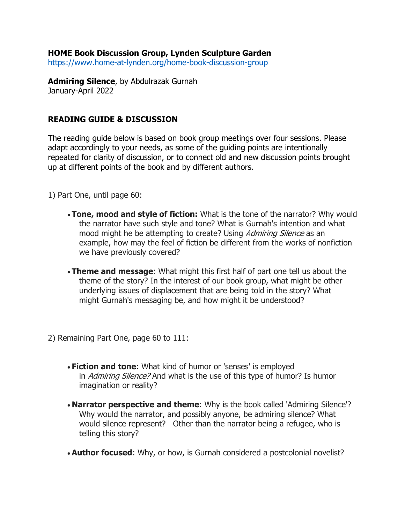## **HOME Book Discussion Group, Lynden Sculpture Garden**

https://www.home-at-lynden.org/home-book-discussion-group

**Admiring Silence**, by Abdulrazak Gurnah January-April 2022

## **READING GUIDE & DISCUSSION**

The reading guide below is based on book group meetings over four sessions. Please adapt accordingly to your needs, as some of the guiding points are intentionally repeated for clarity of discussion, or to connect old and new discussion points brought up at different points of the book and by different authors.

1) Part One, until page 60:

- **Tone, mood and style of fiction:** What is the tone of the narrator? Why would the narrator have such style and tone? What is Gurnah's intention and what mood might he be attempting to create? Using *Admiring Silence* as an example, how may the feel of fiction be different from the works of nonfiction we have previously covered?
- **Theme and message**: What might this first half of part one tell us about the theme of the story? In the interest of our book group, what might be other underlying issues of displacement that are being told in the story? What might Gurnah's messaging be, and how might it be understood?
- 2) Remaining Part One, page 60 to 111:
	- **Fiction and tone**: What kind of humor or 'senses' is employed in *Admiring Silence?* And what is the use of this type of humor? Is humor imagination or reality?
	- **Narrator perspective and theme**: Why is the book called 'Admiring Silence'? Why would the narrator, and possibly anyone, be admiring silence? What would silence represent? Other than the narrator being a refugee, who is telling this story?
	- **Author focused**: Why, or how, is Gurnah considered a postcolonial novelist?